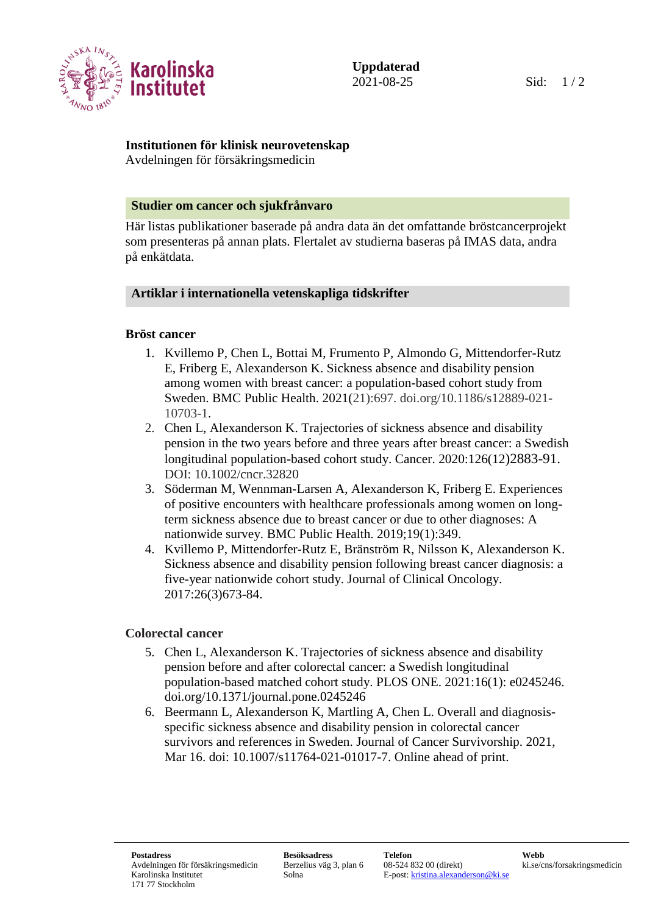

# **Institutionen för klinisk neurovetenskap**

Avdelningen för försäkringsmedicin

### **Studier om cancer och sjukfrånvaro**

Här listas publikationer baserade på andra data än det omfattande bröstcancerprojekt som presenteras på annan plats. Flertalet av studierna baseras på IMAS data, andra på enkätdata.

## **Artiklar i internationella vetenskapliga tidskrifter**

## **Bröst cancer**

- 1. Kvillemo P, Chen L, Bottai M, Frumento P, Almondo G, Mittendorfer-Rutz E, Friberg E, Alexanderson K. Sickness absence and disability pension among women with breast cancer: a population-based cohort study from Sweden. BMC Public Health. 2021(21):697. doi.org/10.1186/s12889-021- 10703-1.
- 2. Chen L, Alexanderson K. Trajectories of sickness absence and disability pension in the two years before and three years after breast cancer: a Swedish longitudinal population-based cohort study. Cancer. 2020:126(12)2883-91. DOI: 10.1002/cncr.32820
- 3. Söderman M, Wennman-Larsen A, Alexanderson K, Friberg E. Experiences of positive encounters with healthcare professionals among women on longterm sickness absence due to breast cancer or due to other diagnoses: A nationwide survey. BMC Public Health. 2019;19(1):349.
- 4. Kvillemo P, Mittendorfer-Rutz E, Bränström R, Nilsson K, Alexanderson K. Sickness absence and disability pension following breast cancer diagnosis: a five-year nationwide cohort study. Journal of Clinical Oncology. 2017:26(3)673-84.

## **Colorectal cancer**

- 5. Chen L, Alexanderson K. Trajectories of sickness absence and disability pension before and after colorectal cancer: a Swedish longitudinal population-based matched cohort study. PLOS ONE. 2021:16(1): e0245246. doi.org/10.1371/journal.pone.0245246
- 6. Beermann L, Alexanderson K, Martling A, Chen L. Overall and diagnosisspecific sickness absence and disability pension in colorectal cancer survivors and references in Sweden. Journal of Cancer Survivorship. 2021, Mar 16. doi: 10.1007/s11764-021-01017-7. Online ahead of print.